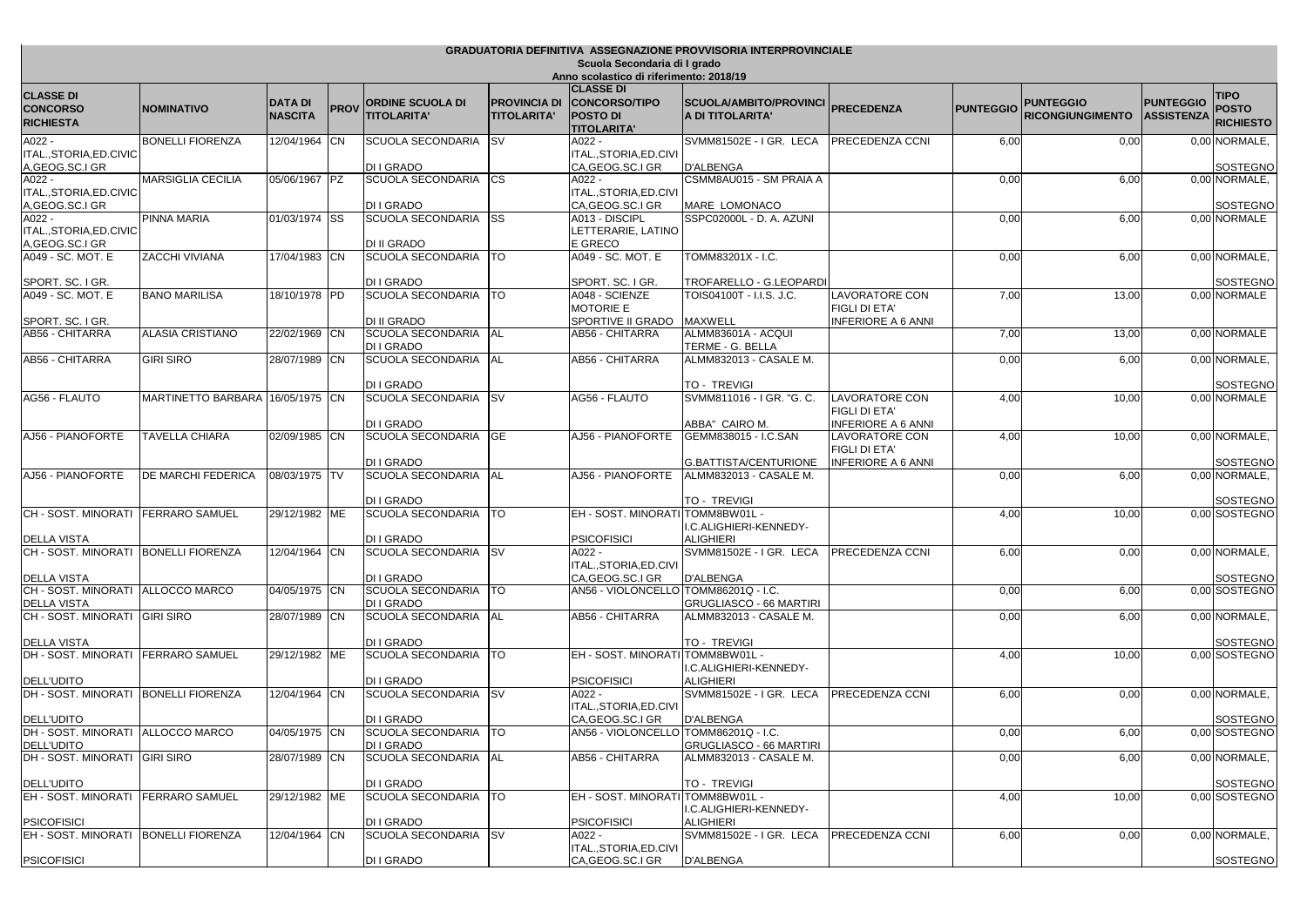| GRADUATORIA DEFINITIVA ASSEGNAZIONE PROVVISORIA INTERPROVINCIALE        |                                  |                                  |             |                                               |                                           |                                                                                   |                                                     |                                                   |                  |                                             |                                       |                                                 |
|-------------------------------------------------------------------------|----------------------------------|----------------------------------|-------------|-----------------------------------------------|-------------------------------------------|-----------------------------------------------------------------------------------|-----------------------------------------------------|---------------------------------------------------|------------------|---------------------------------------------|---------------------------------------|-------------------------------------------------|
| Scuola Secondaria di I grado<br>Anno scolastico di riferimento: 2018/19 |                                  |                                  |             |                                               |                                           |                                                                                   |                                                     |                                                   |                  |                                             |                                       |                                                 |
| <b>CLASSE DI</b><br><b>CONCORSO</b><br><b>RICHIESTA</b>                 | <b>INOMINATIVO</b>               | <b>DATA DI</b><br><b>NASCITA</b> | <b>PROV</b> | <b>ORDINE SCUOLA DI</b><br><b>TITOLARITA'</b> | <b>PROVINCIA DI</b><br><b>TITOLARITA'</b> | <b>CLASSE DI</b><br><b>CONCORSO/TIPO</b><br><b>POSTO DI</b><br><b>TITOLARITA'</b> | <b>SCUOLA/AMBITO/PROVINCI</b><br>A DI TITOLARITA'   | <b>PRECEDENZA</b>                                 | <b>PUNTEGGIO</b> | <b>PUNTEGGIO</b><br><b>RICONGIUNGIMENTO</b> | <b>PUNTEGGIO</b><br><b>ASSISTENZA</b> | <b>TIPO</b><br><b>POSTO</b><br><b>RICHIESTO</b> |
| A022 -                                                                  | <b>BONELLI FIORENZA</b>          | 12/04/1964 CN                    |             | SCUOLA SECONDARIA                             | <b>SV</b>                                 | A022 -                                                                            | SVMM81502E - IGR. LECA                              | <b>PRECEDENZA CCNI</b>                            | 6,00             | 0,00                                        |                                       | 0,00 NORMALE,                                   |
| ITAL., STORIA, ED. CIVIC                                                |                                  |                                  |             |                                               |                                           | ITAL.,STORIA,ED.CIVI                                                              |                                                     |                                                   |                  |                                             |                                       |                                                 |
| A, GEOG.SC.I GR<br>A022 -                                               | <b>MARSIGLIA CECILIA</b>         | 05/06/1967                       | IPZ.        | DI I GRADO<br><b>SCUOLA SECONDARIA</b>        | <b>CS</b>                                 | CA, GEOG.SC.I GR<br>A022 -                                                        | <b>D'ALBENGA</b><br>CSMM8AU015 - SM PRAIA A         |                                                   | 0,00             | 6,00                                        |                                       | SOSTEGNO<br>0,00 NORMALE,                       |
| ITAL., STORIA, ED. CIVIC<br>A, GEOG.SC.I GR                             |                                  |                                  |             | DI I GRADO                                    |                                           | ITAL.,STORIA,ED.CIVI<br>CA, GEOG.SC.I GR                                          | <b>MARE LOMONACO</b>                                |                                                   |                  |                                             |                                       | SOSTEGNO                                        |
| A022 -                                                                  | PINNA MARIA                      | 01/03/1974 SS                    |             | SCUOLA SECONDARIA                             | <b>SS</b>                                 | A013 - DISCIPL                                                                    | SSPC02000L - D. A. AZUNI                            |                                                   | 0,00             | 6,00                                        |                                       | 0,00 NORMALE                                    |
| ITAL., STORIA, ED. CIVIC                                                |                                  |                                  |             |                                               |                                           | LETTERARIE, LATINO                                                                |                                                     |                                                   |                  |                                             |                                       |                                                 |
| A, GEOG.SC.I GR<br>A049 - SC. MOT. E                                    | ZACCHI VIVIANA                   | 17/04/1983 CN                    |             | DI II GRADO<br><b>SCUOLA SECONDARIA</b>       | <b>ITO</b>                                | E GRECO<br>A049 - SC. MOT. E                                                      | TOMM83201X - I.C.                                   |                                                   | 0,00             | 6,00                                        |                                       | 0,00 NORMALE,                                   |
|                                                                         |                                  |                                  |             |                                               |                                           |                                                                                   |                                                     |                                                   |                  |                                             |                                       |                                                 |
| SPORT. SC. I GR.<br>A049 - SC. MOT. E                                   | <b>BANO MARILISA</b>             | 18/10/1978 PD                    |             | DI I GRADO<br>SCUOLA SECONDARIA               | <b>ITO</b>                                | SPORT. SC. I GR.<br>4048 - SCIENZE                                                | TROFARELLO - G.LEOPARDI<br>TOIS04100T - I.I.S. J.C. | LAVORATORE CON                                    | 7,00             | 13,00                                       |                                       | SOSTEGNO<br>0,00 NORMALE                        |
| SPORT. SC. I GR.                                                        |                                  |                                  |             | DI II GRADO                                   |                                           | MOTORIE E<br>SPORTIVE II GRADO                                                    | <b>MAXWELL</b>                                      | <b>FIGLI DI ETA'</b><br><b>INFERIORE A 6 ANNI</b> |                  |                                             |                                       |                                                 |
| AB56 - CHITARRA                                                         | <b>ALASIA CRISTIANO</b>          | 22/02/1969 CN                    |             | SCUOLA SECONDARIA                             | <b>AL</b>                                 | AB56 - CHITARRA                                                                   | ALMM83601A - ACQUI                                  |                                                   | 7,00             | 13,00                                       |                                       | 0,00 NORMALE                                    |
|                                                                         |                                  |                                  |             | DI I GRADO                                    |                                           |                                                                                   | TERME - G. BELLA                                    |                                                   |                  |                                             |                                       |                                                 |
| AB56 - CHITARRA                                                         | <b>GIRI SIRO</b>                 | 28/07/1989 CN                    |             | <b>SCUOLA SECONDARIA</b>                      | <b>AL</b>                                 | AB56 - CHITARRA                                                                   | ALMM832013 - CASALE M.                              |                                                   | 0,00             | 6,00                                        |                                       | 0,00 NORMALE,                                   |
| AG56 - FLAUTO                                                           | MARTINETTO BARBARA 16/05/1975 CN |                                  |             | DI I GRADO<br><b>SCUOLA SECONDARIA</b>        | <b>SV</b>                                 | AG56 - FLAUTO                                                                     | <b>TO - TREVIGI</b><br>SVMM811016 - I GR. "G. C.    | <b>LAVORATORE CON</b>                             | 4,00             | 10,00                                       |                                       | SOSTEGNO<br>0.00 NORMALE                        |
|                                                                         |                                  |                                  |             | DI I GRADO                                    |                                           |                                                                                   | ABBA" CAIRO M.                                      | FIGLI DI ETA'<br><b>INFERIORE A 6 ANNI</b>        |                  |                                             |                                       |                                                 |
| AJ56 - PIANOFORTE                                                       | <b>TAVELLA CHIARA</b>            | 02/09/1985 CN                    |             | <b>SCUOLA SECONDARIA</b>                      | <b>GE</b>                                 | AJ56 - PIANOFORTE                                                                 | GEMM838015 - I.C.SAN                                | <b>LAVORATORE CON</b>                             | 4,00             | 10,00                                       |                                       | 0,00 NORMALE,                                   |
|                                                                         |                                  |                                  |             | DI I GRADO                                    |                                           |                                                                                   | G.BATTISTA/CENTURIONE                               | <b>FIGLI DI ETA'</b><br><b>INFERIORE A 6 ANNI</b> |                  |                                             |                                       | SOSTEGNO                                        |
| AJ56 - PIANOFORTE                                                       | <b>DE MARCHI FEDERICA</b>        | 08/03/1975 TV                    |             | SCUOLA SECONDARIA                             | AL.                                       | AJ56 - PIANOFORTE                                                                 | ALMM832013 - CASALE M.                              |                                                   | 0,00             | 6,00                                        |                                       | 0,00 NORMALE,                                   |
|                                                                         |                                  |                                  |             |                                               |                                           |                                                                                   |                                                     |                                                   |                  |                                             |                                       |                                                 |
| CH - SOST. MINORATI   FERRARO SAMUEL                                    |                                  | 29/12/1982 ME                    |             | DI I GRADO<br>SCUOLA SECONDARIA               | <b>TO</b>                                 | EH - SOST. MINORATI TOMM8BW01L -                                                  | <b>TO - TREVIGI</b>                                 |                                                   | 4,00             | 10,00                                       |                                       | SOSTEGNO<br>0,00 SOSTEGNO                       |
| <b>DELLA VISTA</b>                                                      |                                  |                                  |             | DI I GRADO                                    |                                           | <b>PSICOFISICI</b>                                                                | I.C.ALIGHIERI-KENNEDY-<br><b>ALIGHIERI</b>          |                                                   |                  |                                             |                                       |                                                 |
| CH - SOST. MINORATI BONELLI FIORENZA                                    |                                  | 12/04/1964 CN                    |             | <b>SCUOLA SECONDARIA</b>                      | <b>SV</b>                                 | A022 -                                                                            | SVMM81502E - I GR. LECA                             | <b>PRECEDENZA CCNI</b>                            | 6,00             | 0,00                                        |                                       | 0,00 NORMALE,                                   |
| <b>DELLA VISTA</b>                                                      |                                  |                                  |             | DI I GRADO                                    |                                           | ITAL.,STORIA,ED.CIVI<br>CA, GEOG.SC.I GR                                          | <b>D'ALBENGA</b>                                    |                                                   |                  |                                             |                                       | SOSTEGNO                                        |
| CH - SOST. MINORATI ALLOCCO MARCO                                       |                                  | 04/05/1975 CN                    |             | SCUOLA SECONDARIA                             | <b>ITO</b>                                | AN56 - VIOLONCELLO TOMM86201Q - I.C.                                              |                                                     |                                                   | 0,00             | 6,00                                        |                                       | 0,00 SOSTEGNO                                   |
| <b>DELLA VISTA</b>                                                      |                                  |                                  |             | DI I GRADO                                    |                                           |                                                                                   | <b>GRUGLIASCO - 66 MARTIRI</b>                      |                                                   |                  |                                             |                                       |                                                 |
| CH - SOST. MINORATI GIRI SIRO                                           |                                  | 28/07/1989 CN                    |             | SCUOLA SECONDARIA                             | AL                                        | AB56 - CHITARRA                                                                   | ALMM832013 - CASALE M.                              |                                                   | 0,00             | 6,00                                        |                                       | 0,00 NORMALE,                                   |
| <b>DELLA VISTA</b><br>DH - SOST. MINORATI FERRARO SAMUEL                |                                  | 29/12/1982 ME                    |             | DI I GRADO<br>SCUOLA SECONDARIA               | TO                                        | EH - SOST. MINORATI TOMM8BW01L -                                                  | <b>TO - TREVIGI</b>                                 |                                                   | 4,00             | 10,00                                       |                                       | SOSTEGNO<br>0.00 SOSTEGNO                       |
| <b>DELL'UDITO</b>                                                       |                                  |                                  |             | DI I GRADO                                    |                                           | PSICOFISICI                                                                       | I.C.ALIGHIERI-KENNEDY-<br><b>ALIGHIERI</b>          |                                                   |                  |                                             |                                       |                                                 |
| DH - SOST. MINORATI BONELLI FIORENZA                                    |                                  | 12/04/1964 CN                    |             | SCUOLA SECONDARIA                             | <b>SV</b>                                 | A022 -                                                                            | SVMM81502E - I GR. LECA                             | <b>PRECEDENZA CCNI</b>                            | 6,00             | 0,00                                        |                                       | 0,00 NORMALE,                                   |
| <b>DELL'UDITO</b>                                                       |                                  |                                  |             | DI I GRADO                                    |                                           | ITAL.,STORIA,ED.CIVI<br>CA,GEOG.SC.I GR                                           | <b>D'ALBENGA</b>                                    |                                                   |                  |                                             |                                       | SOSTEGNO                                        |
| DH - SOST. MINORATI ALLOCCO MARCO                                       |                                  | 04/05/1975 CN                    |             | SCUOLA SECONDARIA   TO                        |                                           | AN56 - VIOLONCELLO TOMM86201Q - I.C.                                              |                                                     |                                                   | 0,00             | 6,00                                        |                                       | 0,00 SOSTEGNO                                   |
| <b>DELL'UDITO</b>                                                       |                                  |                                  |             | DI I GRADO                                    |                                           |                                                                                   | <b>GRUGLIASCO - 66 MARTIRI</b>                      |                                                   |                  |                                             |                                       |                                                 |
| DH - SOST. MINORATI GIRI SIRO                                           |                                  | 28/07/1989 CN                    |             | SCUOLA SECONDARIA AL                          |                                           | AB56 - CHITARRA                                                                   | ALMM832013 - CASALE M.                              |                                                   | 0,00             | 6,00                                        |                                       | 0,00 NORMALE,                                   |
| <b>DELL'UDITO</b>                                                       |                                  |                                  |             | DI I GRADO                                    |                                           |                                                                                   | <b>TO - TREVIGI</b>                                 |                                                   |                  |                                             |                                       | SOSTEGNO                                        |
| EH - SOST. MINORATI FERRARO SAMUEL                                      |                                  | 29/12/1982 ME                    |             | SCUOLA SECONDARIA   TO                        |                                           | EH - SOST. MINORATI TOMM8BW01L -                                                  | I.C.ALIGHIERI-KENNEDY-                              |                                                   | 4,00             | 10,00                                       |                                       | 0,00 SOSTEGNO                                   |
| <b>PSICOFISICI</b><br>EH - SOST, MINORATI BONELLI FIORENZA              |                                  | 12/04/1964 CN                    |             | DI I GRADO<br>SCUOLA SECONDARIA SV            |                                           | PSICOFISICI<br>A022 -                                                             | <b>ALIGHIERI</b><br>SVMM81502E - I GR. LECA         | PRECEDENZA CCNI                                   | 6,00             | 0,00                                        |                                       | 0,00 NORMALE,                                   |
|                                                                         |                                  |                                  |             |                                               |                                           | ITAL.,STORIA,ED.CIVI                                                              |                                                     |                                                   |                  |                                             |                                       |                                                 |
| <b>PSICOFISICI</b>                                                      |                                  |                                  |             | DI I GRADO                                    |                                           | CA, GEOG.SC.I GR                                                                  | <b>D'ALBENGA</b>                                    |                                                   |                  |                                             |                                       | SOSTEGNO                                        |